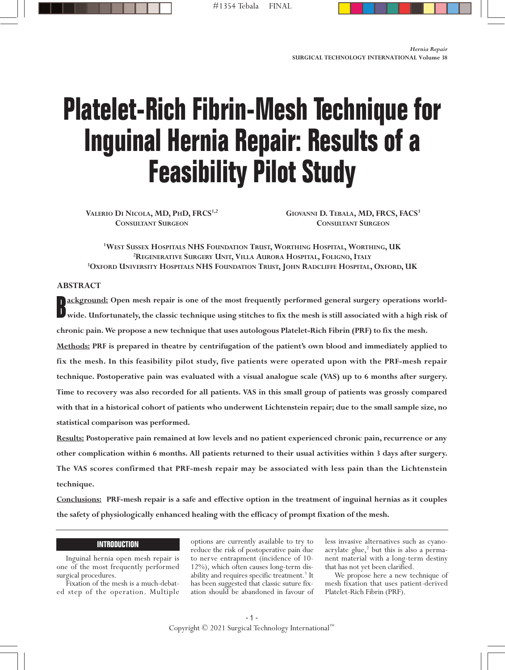# **Platelet-Rich Fibrin-Mesh Technique for Inguinal Hernia Repair: Results of a Feasibility Pilot Study**

VALERIO DI NICOLA, MD, PHD, FRCS<sup>1,2</sup> **CONSULTANT SURGEON**

**GIOVANNI D. TEBALA, MD, FRCS, FACS3 CONSULTANT SURGEON**

**1 WEST SUSSEX HOSPITALS NHS FOUNDATION TRUST, WORTHING HOSPITAL, WORTHING, UK 2 REGENERATIVE SURGERY UNIT, VILLA AURORA HOSPITAL, FOLIGNO, ITALY 3 OXFORD UNIVERSITY HOSPITALS NHS FOUNDATION TRUST, JOHN RADCLIFFE HOSPITAL, OXFORD, UK**

# **ABSTRACT**

**ackground:** Open mesh repair is one of the most frequently performed general surgery operations world-<br>wide. Unfortunately, the classic technique using stitches to fix the mesh is still associated with a high risk of **wide. Unfortunately, the classic technique using stitches to fix the mesh is still associated with a high risk of chronic pain. We propose a new technique that uses autologous Platelet-Rich Fibrin (PRF) to fix the mesh.**

**Methods: PRF is prepared in theatre by centrifugation of the patient's own blood and immediately applied to fix the mesh. In this feasibility pilot study, five patients were operated upon with the PRF-mesh repair technique. Postoperative pain was evaluated with a visual analogue scale (VAS) up to 6 months after surgery. Time to recovery was also recorded for all patients. VAS in this small group of patients was grossly compared with that in a historical cohort of patients who underwent Lichtenstein repair; due to the small sample size, no statistical comparison was performed.** 

**Results: Postoperative pain remained at low levels and no patient experienced chronic pain, recurrence or any other complication within 6 months. All patients returned to their usual activities within 3 days after surgery. The VAS scores confirmed that PRF-mesh repair may be associated with less pain than the Lichtenstein technique.**

**Conclusions: PRF-mesh repair is a safe and effective option in the treatment of inguinal hernias as it couples the safety of physiologically enhanced healing with the efficacy of prompt fixation of the mesh.**

# **INTRODUCTION**

Inguinal hernia open mesh repair is one of the most frequently performed surgical procedures.

Fixation of the mesh is a much-debated step of the operation. Multiple

options are currently available to try to reduce the risk of postoperative pain due to nerve entrapment (incidence of 10- 12%), which often causes long-term disability and requires specific treatment.<sup>1</sup> It has been suggested that classic suture fixation should be abandoned in favour of less invasive alternatives such as cyanoacrylate glue,<sup>2</sup> but this is also a permanent material with a long-term destiny that has not yet been clarified.

We propose here a new technique of mesh fixation that uses patient-derived Platelet-Rich Fibrin (PRF).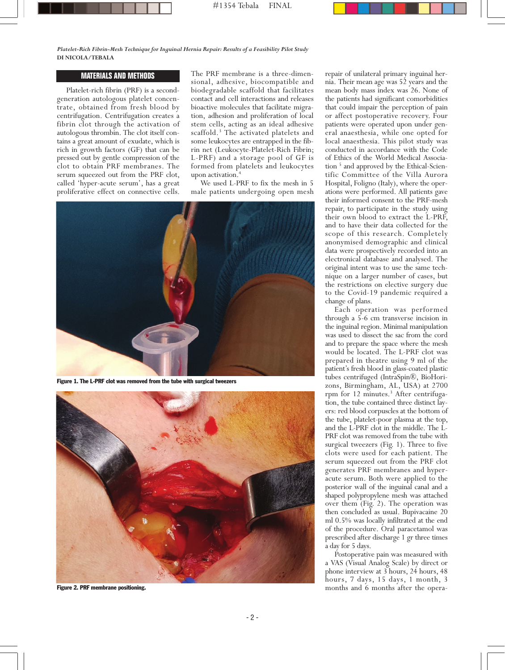## *Platelet-Rich Fibrin-Mesh Technique for Inguinal Hernia Repair: Results of a Feasibility Pilot Study* **DI NICOLA/TEBALA**

# **Materials and Methods MATERIALS AND METHODS**

Platelet-rich fibrin (PRF) is a second-<br>generation autologous platelet concen-<br>trate, obtained from fresh blood by<br>centrifugation. Centrifugation creates a<br>fibrin clot through the activation of<br>autologous thrombin. The clo tains a great amount of exudate, which is rich in growth factors (GF) that can be pressed out by gentle compression of the clot to obtain PRF membranes. The serum squeezed out from the PRF clot, called 'hyper-acute serum', has a great proliferative effect on connective cells.

The PRF membrane is <sup>a</sup> three-dimen- sional, adhesive, biocompatible and biodegradable scaffold that facilitates contact and cell interactions and releases bioactive molecules that facilitate migration, adhesion and proliferation of local stem cells, acting as an ideal adhesive scaffold.<sup>3</sup> The activated platelets and some leukocytes are entrapped in the fibrin net (Leukocyte-Platelet-Rich Fibrin; L-PRF) and a storage pool of GF is formed from platelets and leukocytes upon activation. 4

We used L-PRF to fix the mesh in 5 male patients undergoing open mesh



**Figure 1. The L-PRF clot was removed from the tube with surgical tweezers**



**Figure 2. PRF membrane positioning.**

repair of unilateral primary inguinal her-<br>nia. Their mean age was 52 years and the<br>mean body mass index was 26. None of<br>the patients had significant comorbidities that could impair the perception of pain<br>or affect postoperative recovery. Four<br>patients were operated upon under gen-<br>eral anaesthesia, while one opted for local anaesthesia. This pilot study was conducted in accordance with the Code of Ethics of the World Medical Association <sup>5</sup> and approved by the Ethical-Scientific Committee of the Villa Aurora Hospital, Foligno (Italy), where the operations were performed. All patients gave their informed consent to the PRF-mesh repair, to participate in the study using their own blood to extract the L-PRF, and to have their data collected for the scope of this research. Completely anonymised demographic and clinical data were prospectively recorded into an electronical database and analysed. The original intent was to use the same technique on a larger number of cases, but the restrictions on elective surgery due to the Covid-19 pandemic required a change of plans.

Each operation was performed through a 5-6 cm transverse incision in the inguinal region. Minimal manipulation was used to dissect the sac from the cord and to prepare the space where the mesh would be located. The L-PRF clot was prepared in theatre using 9 ml of the patient's fresh blood in glass-coated plastic tubes centrifuged (IntraSpin®, BioHorizons, Birmingham, AL, USA) at 2700 rpm for 12 minutes.<sup>3</sup> After centrifugation, the tube contained three distinct lay-<br>ers: red blood corpuscles at the bottom of the tube, platelet-poor plasma at the top, and the L-PRF clot in the middle. The L-<br>PRF clot was removed from the tube with surgical tweezers (Fig. 1). Three to five clots were used for each patient. The serum squeezed out from the PRF clot generates PRF membranes and hyperacute serum. Both were applied to the posterior wall of the inguinal canal and a shaped polypropylene mesh was attached over them (Fig. 2). The operation was then concluded as usual. Bupivacaine 20 ml 0.5% was locally infiltrated at the end

of the procedure. Oral paracetamol was prescribed after discharge <sup>1</sup> gr three times <sup>a</sup> day for <sup>5</sup> days. Postoperative pain was measured with <sup>a</sup> VAS (Visual Analog Scale) by direct or phone interview at <sup>3</sup> hours, <sup>24</sup> hours, <sup>48</sup> hours, 7 days, 15 days, 1 month, 3 months and 6 months after the opera